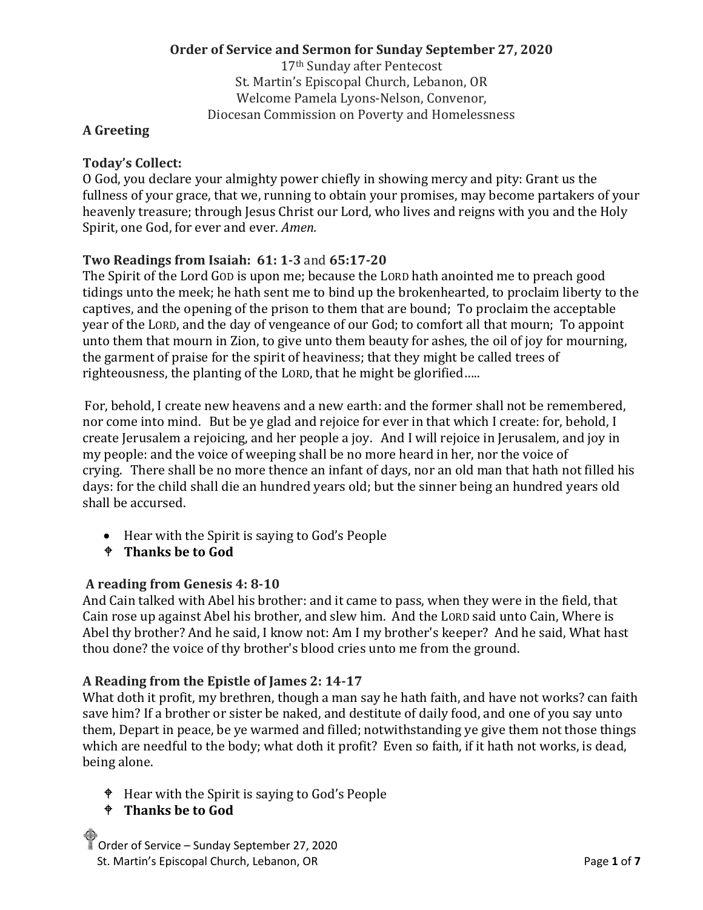# **Order of Service and Sermon for Sunday September 27, 2020**

17th Sunday after Pentecost St. Martin's Episcopal Church, Lebanon, OR Welcome Pamela Lyons-Nelson, Convenor, Diocesan Commission on Poverty and Homelessness

#### **A Greeting**

### **Today's Collect:**

O God, you declare your almighty power chiefly in showing mercy and pity: Grant us the fullness of your grace, that we, running to obtain your promises, may become partakers of your heavenly treasure; through Jesus Christ our Lord, who lives and reigns with you and the Holy Spirit, one God, for ever and ever. *Amen.*

# **Two Readings from Isaiah: 61: 1-3** and **65:17-20**

The Spirit of the Lord GOD is upon me; because the LORD hath anointed me to preach good tidings unto the meek; he hath sent me to bind up the brokenhearted, to proclaim liberty to the captives, and the opening of the prison to them that are bound; To proclaim the acceptable year of the LORD, and the day of vengeance of our God; to comfort all that mourn; To appoint unto them that mourn in Zion, to give unto them beauty for ashes, the oil of joy for mourning, the garment of praise for the spirit of heaviness; that they might be called trees of righteousness, the planting of the LORD, that he might be glorified…..

For, behold, I create new heavens and a new earth: and the former shall not be remembered, nor come into mind. But be ye glad and rejoice for ever in that which I create: for, behold, I create Jerusalem a rejoicing, and her people a joy. And I will rejoice in Jerusalem, and joy in my people: and the voice of weeping shall be no more heard in her, nor the voice of crying. There shall be no more thence an infant of days, nor an old man that hath not filled his days: for the child shall die an hundred years old; but the sinner being an hundred years old shall be accursed.

- Hear with the Spirit is saying to God's People
- **Thanks be to God**

#### **A reading from Genesis 4: 8-10**

And Cain talked with Abel his brother: and it came to pass, when they were in the field, that Cain rose up against Abel his brother, and slew him. And the LORD said unto Cain, Where is Abel thy brother? And he said, I know not: Am I my brother's keeper? And he said, What hast thou done? the voice of thy brother's blood cries unto me from the ground.

#### **A Reading from the Epistle of James 2: 14-17**

What doth it profit, my brethren, though a man say he hath faith, and have not works? can faith save him? If a brother or sister be naked, and destitute of daily food, and one of you say unto them, Depart in peace, be ye warmed and filled; notwithstanding ye give them not those things which are needful to the body; what doth it profit? Even so faith, if it hath not works, is dead, being alone.

- Hear with the Spirit is saying to God's People
- **Thanks be to God**

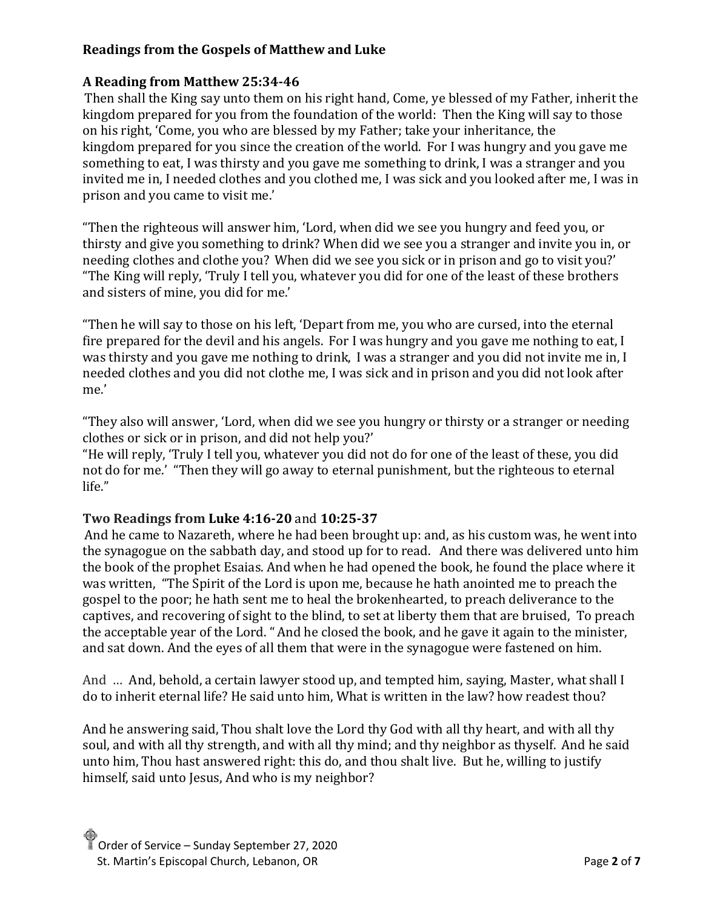# **Readings from the Gospels of Matthew and Luke**

# **A Reading from Matthew 25:34-46**

Then shall the King say unto them on his right hand, Come, ye blessed of my Father, inherit the kingdom prepared for you from the foundation of the world: Then the King will say to those on his right, 'Come, you who are blessed by my Father; take your inheritance, the kingdom prepared for you since the creation of the world. For I was hungry and you gave me something to eat, I was thirsty and you gave me something to drink, I was a stranger and you invited me in, I needed clothes and you clothed me, I was sick and you looked after me, I was in prison and you came to visit me.'

"Then the righteous will answer him, 'Lord, when did we see you hungry and feed you, or thirsty and give you something to drink? When did we see you a stranger and invite you in, or needing clothes and clothe you? When did we see you sick or in prison and go to visit you?' "The King will reply, 'Truly I tell you, whatever you did for one of the least of these brothers and sisters of mine, you did for me.'

"Then he will say to those on his left, 'Depart from me, you who are cursed, into the eternal fire prepared for the devil and his angels. For I was hungry and you gave me nothing to eat, I was thirsty and you gave me nothing to drink, I was a stranger and you did not invite me in, I needed clothes and you did not clothe me, I was sick and in prison and you did not look after me.'

"They also will answer, 'Lord, when did we see you hungry or thirsty or a stranger or needing clothes or sick or in prison, and did not help you?'

"He will reply, 'Truly I tell you, whatever you did not do for one of the least of these, you did not do for me.' "Then they will go away to eternal punishment, but the righteous to eternal life."

#### **Two Readings from Luke 4:16-20** and **10:25-37**

And he came to Nazareth, where he had been brought up: and, as his custom was, he went into the synagogue on the sabbath day, and stood up for to read. And there was delivered unto him the book of the prophet Esaias. And when he had opened the book, he found the place where it was written, "The Spirit of the Lord is upon me, because he hath anointed me to preach the gospel to the poor; he hath sent me to heal the brokenhearted, to preach deliverance to the captives, and recovering of sight to the blind, to set at liberty them that are bruised, To preach the acceptable year of the Lord. "And he closed the book, and he gave it again to the minister, and sat down. And the eyes of all them that were in the synagogue were fastened on him.

And … And, behold, a certain lawyer stood up, and tempted him, saying, Master, what shall I do to inherit eternal life? He said unto him, What is written in the law? how readest thou?

And he answering said, Thou shalt love the Lord thy God with all thy heart, and with all thy soul, and with all thy strength, and with all thy mind; and thy neighbor as thyself. And he said unto him, Thou hast answered right: this do, and thou shalt live. But he, willing to justify himself, said unto Jesus, And who is my neighbor?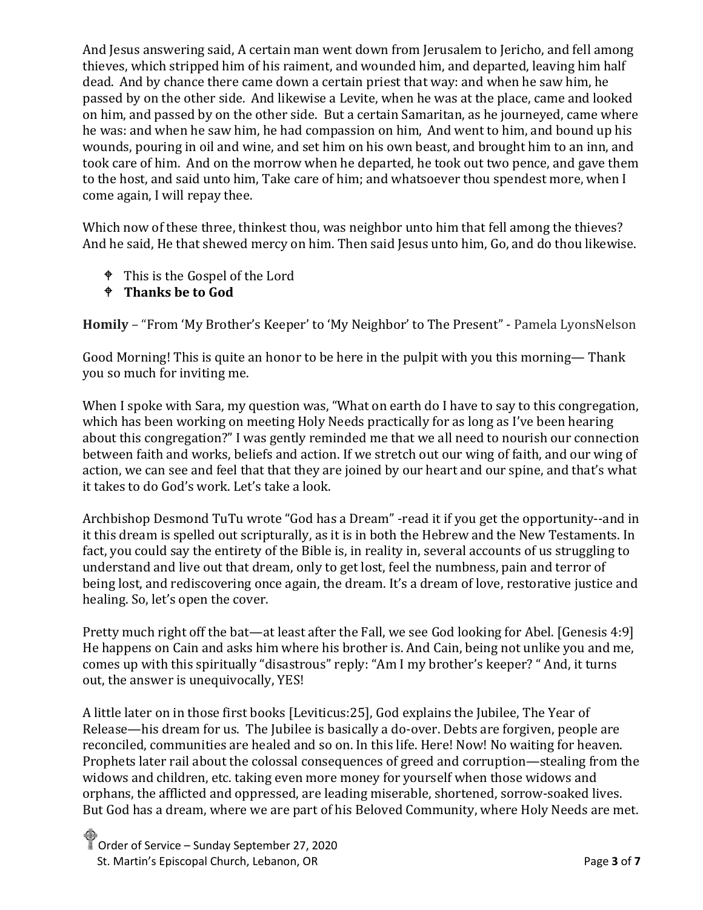And Jesus answering said, A certain man went down from Jerusalem to Jericho, and fell among thieves, which stripped him of his raiment, and wounded him, and departed, leaving him half dead. And by chance there came down a certain priest that way: and when he saw him, he passed by on the other side. And likewise a Levite, when he was at the place, came and looked on him, and passed by on the other side. But a certain Samaritan, as he journeyed, came where he was: and when he saw him, he had compassion on him, And went to him, and bound up his wounds, pouring in oil and wine, and set him on his own beast, and brought him to an inn, and took care of him. And on the morrow when he departed, he took out two pence, and gave them to the host, and said unto him, Take care of him; and whatsoever thou spendest more, when I come again, I will repay thee.

Which now of these three, thinkest thou, was neighbor unto him that fell among the thieves? And he said, He that shewed mercy on him. Then said Jesus unto him, Go, and do thou likewise.

- This is the Gospel of the Lord
- **Thanks be to God**

**Homily** – "From 'My Brother's Keeper' to 'My Neighbor' to The Present" - Pamela LyonsNelson

Good Morning! This is quite an honor to be here in the pulpit with you this morning— Thank you so much for inviting me.

When I spoke with Sara, my question was, "What on earth do I have to say to this congregation, which has been working on meeting Holy Needs practically for as long as I've been hearing about this congregation?" I was gently reminded me that we all need to nourish our connection between faith and works, beliefs and action. If we stretch out our wing of faith, and our wing of action, we can see and feel that that they are joined by our heart and our spine, and that's what it takes to do God's work. Let's take a look.

Archbishop Desmond TuTu wrote "God has a Dream" -read it if you get the opportunity--and in it this dream is spelled out scripturally, as it is in both the Hebrew and the New Testaments. In fact, you could say the entirety of the Bible is, in reality in, several accounts of us struggling to understand and live out that dream, only to get lost, feel the numbness, pain and terror of being lost, and rediscovering once again, the dream. It's a dream of love, restorative justice and healing. So, let's open the cover.

Pretty much right off the bat—at least after the Fall, we see God looking for Abel. [Genesis 4:9] He happens on Cain and asks him where his brother is. And Cain, being not unlike you and me, comes up with this spiritually "disastrous" reply: "Am I my brother's keeper? " And, it turns out, the answer is unequivocally, YES!

A little later on in those first books [Leviticus:25], God explains the Jubilee, The Year of Release—his dream for us. The Jubilee is basically a do-over. Debts are forgiven, people are reconciled, communities are healed and so on. In this life. Here! Now! No waiting for heaven. Prophets later rail about the colossal consequences of greed and corruption—stealing from the widows and children, etc. taking even more money for yourself when those widows and orphans, the afflicted and oppressed, are leading miserable, shortened, sorrow-soaked lives. But God has a dream, where we are part of his Beloved Community, where Holy Needs are met.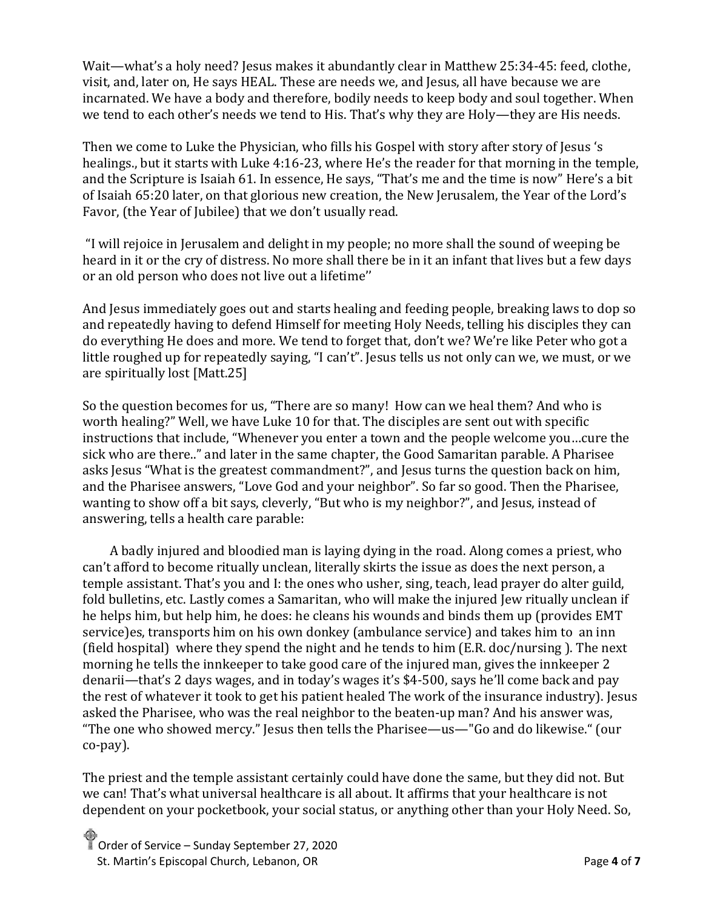Wait—what's a holy need? Jesus makes it abundantly clear in Matthew 25:34-45: feed, clothe, visit, and, later on, He says HEAL. These are needs we, and Jesus, all have because we are incarnated. We have a body and therefore, bodily needs to keep body and soul together. When we tend to each other's needs we tend to His. That's why they are Holy—they are His needs.

Then we come to Luke the Physician, who fills his Gospel with story after story of Jesus 's healings., but it starts with Luke 4:16-23, where He's the reader for that morning in the temple, and the Scripture is Isaiah 61. In essence, He says, "That's me and the time is now" Here's a bit of Isaiah 65:20 later, on that glorious new creation, the New Jerusalem, the Year of the Lord's Favor, (the Year of Jubilee) that we don't usually read.

"I will rejoice in Jerusalem and delight in my people; no more shall the sound of weeping be heard in it or the cry of distress. No more shall there be in it an infant that lives but a few days or an old person who does not live out a lifetime''

And Jesus immediately goes out and starts healing and feeding people, breaking laws to dop so and repeatedly having to defend Himself for meeting Holy Needs, telling his disciples they can do everything He does and more. We tend to forget that, don't we? We're like Peter who got a little roughed up for repeatedly saying, "I can't". Jesus tells us not only can we, we must, or we are spiritually lost [Matt.25]

So the question becomes for us, "There are so many! How can we heal them? And who is worth healing?" Well, we have Luke 10 for that. The disciples are sent out with specific instructions that include, "Whenever you enter a town and the people welcome you…cure the sick who are there.." and later in the same chapter, the Good Samaritan parable. A Pharisee asks Jesus "What is the greatest commandment?", and Jesus turns the question back on him, and the Pharisee answers, "Love God and your neighbor". So far so good. Then the Pharisee, wanting to show off a bit says, cleverly, "But who is my neighbor?", and Jesus, instead of answering, tells a health care parable:

 A badly injured and bloodied man is laying dying in the road. Along comes a priest, who can't afford to become ritually unclean, literally skirts the issue as does the next person, a temple assistant. That's you and I: the ones who usher, sing, teach, lead prayer do alter guild, fold bulletins, etc. Lastly comes a Samaritan, who will make the injured Jew ritually unclean if he helps him, but help him, he does: he cleans his wounds and binds them up (provides EMT service)es, transports him on his own donkey (ambulance service) and takes him to an inn (field hospital) where they spend the night and he tends to him (E.R. doc/nursing ). The next morning he tells the innkeeper to take good care of the injured man, gives the innkeeper 2 denarii—that's 2 days wages, and in today's wages it's \$4-500, says he'll come back and pay the rest of whatever it took to get his patient healed The work of the insurance industry). Jesus asked the Pharisee, who was the real neighbor to the beaten-up man? And his answer was, "The one who showed mercy." Jesus then tells the Pharisee—us—"Go and do likewise." (our co-pay).

The priest and the temple assistant certainly could have done the same, but they did not. But we can! That's what universal healthcare is all about. It affirms that your healthcare is not dependent on your pocketbook, your social status, or anything other than your Holy Need. So,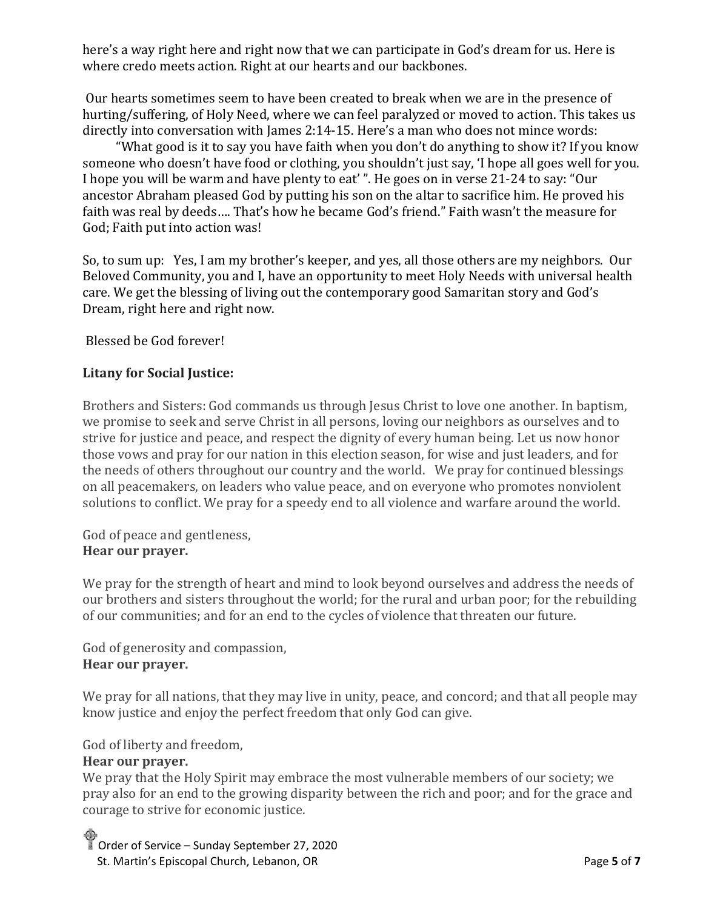here's a way right here and right now that we can participate in God's dream for us. Here is where credo meets action. Right at our hearts and our backbones.

Our hearts sometimes seem to have been created to break when we are in the presence of hurting/suffering, of Holy Need, where we can feel paralyzed or moved to action. This takes us directly into conversation with James 2:14-15. Here's a man who does not mince words:

 "What good is it to say you have faith when you don't do anything to show it? If you know someone who doesn't have food or clothing, you shouldn't just say, 'I hope all goes well for you. I hope you will be warm and have plenty to eat' ". He goes on in verse 21-24 to say: "Our ancestor Abraham pleased God by putting his son on the altar to sacrifice him. He proved his faith was real by deeds…. That's how he became God's friend." Faith wasn't the measure for God; Faith put into action was!

So, to sum up: Yes, I am my brother's keeper, and yes, all those others are my neighbors. Our Beloved Community, you and I, have an opportunity to meet Holy Needs with universal health care. We get the blessing of living out the contemporary good Samaritan story and God's Dream, right here and right now.

Blessed be God forever!

#### **Litany for Social Justice:**

Brothers and Sisters: God commands us through Jesus Christ to love one another. In baptism, we promise to seek and serve Christ in all persons, loving our neighbors as ourselves and to strive for justice and peace, and respect the dignity of every human being. Let us now honor those vows and pray for our nation in this election season, for wise and just leaders, and for the needs of others throughout our country and the world. We pray for continued blessings on all peacemakers, on leaders who value peace, and on everyone who promotes nonviolent solutions to conflict. We pray for a speedy end to all violence and warfare around the world.

God of peace and gentleness, **Hear our prayer.**

We pray for the strength of heart and mind to look beyond ourselves and address the needs of our brothers and sisters throughout the world; for the rural and urban poor; for the rebuilding of our communities; and for an end to the cycles of violence that threaten our future.

God of generosity and compassion, **Hear our prayer.**

We pray for all nations, that they may live in unity, peace, and concord; and that all people may know justice and enjoy the perfect freedom that only God can give.

God of liberty and freedom,

#### **Hear our prayer.**

We pray that the Holy Spirit may embrace the most vulnerable members of our society; we pray also for an end to the growing disparity between the rich and poor; and for the grace and courage to strive for economic justice.

Order of Service – Sunday September 27, 2020 St. Martin's Episcopal Church, Lebanon, OR **Page 5** of **7 Page 5** of **7**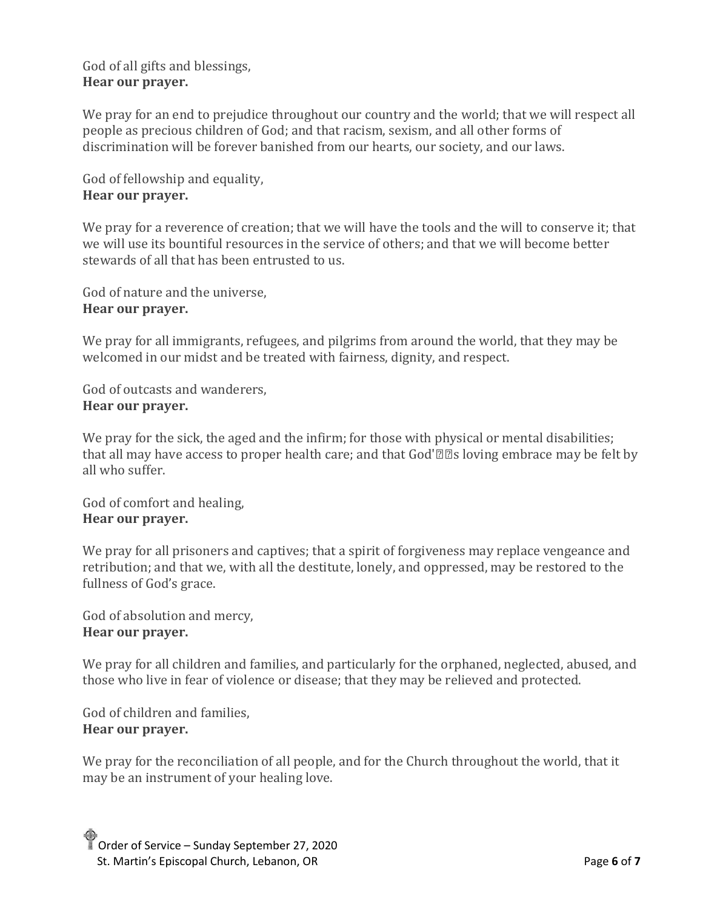### God of all gifts and blessings, **Hear our prayer.**

We pray for an end to prejudice throughout our country and the world; that we will respect all people as precious children of God; and that racism, sexism, and all other forms of discrimination will be forever banished from our hearts, our society, and our laws.

God of fellowship and equality, **Hear our prayer.**

We pray for a reverence of creation; that we will have the tools and the will to conserve it; that we will use its bountiful resources in the service of others; and that we will become better stewards of all that has been entrusted to us.

God of nature and the universe, **Hear our prayer.**

We pray for all immigrants, refugees, and pilgrims from around the world, that they may be welcomed in our midst and be treated with fairness, dignity, and respect.

God of outcasts and wanderers, **Hear our prayer.**

We pray for the sick, the aged and the infirm; for those with physical or mental disabilities; that all may have access to proper health care; and that God'€™s loving embrace may be felt by all who suffer.

God of comfort and healing, **Hear our prayer.**

We pray for all prisoners and captives; that a spirit of forgiveness may replace vengeance and retribution; and that we, with all the destitute, lonely, and oppressed, may be restored to the fullness of God's grace.

God of absolution and mercy, **Hear our prayer.**

We pray for all children and families, and particularly for the orphaned, neglected, abused, and those who live in fear of violence or disease; that they may be relieved and protected.

God of children and families, **Hear our prayer.**

We pray for the reconciliation of all people, and for the Church throughout the world, that it may be an instrument of your healing love.